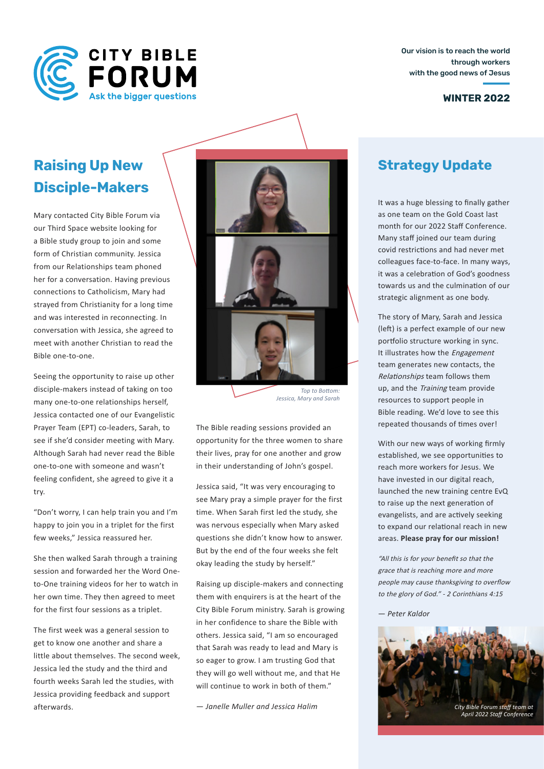

Our vision is to reach the world through workers with the good news of Jesus

#### **WINTER 2022**

# **Raising Up New Disciple-Makers**

Mary contacted City Bible Forum via our Third Space website looking for a Bible study group to join and some form of Christian community. Jessica from our Relationships team phoned her for a conversation. Having previous connections to Catholicism, Mary had strayed from Christianity for a long time and was interested in reconnecting. In conversation with Jessica, she agreed to meet with another Christian to read the Bible one-to-one.

Seeing the opportunity to raise up other disciple-makers instead of taking on too many one-to-one relationships herself, Jessica contacted one of our Evangelistic Prayer Team (EPT) co-leaders, Sarah, to see if she'd consider meeting with Mary. Although Sarah had never read the Bible one-to-one with someone and wasn't feeling confident, she agreed to give it a try.

"Don't worry, I can help train you and I'm happy to join you in a triplet for the first few weeks," Jessica reassured her.

She then walked Sarah through a training session and forwarded her the Word Oneto-One training videos for her to watch in her own time. They then agreed to meet for the first four sessions as a triplet.

The first week was a general session to get to know one another and share a little about themselves. The second week, Jessica led the study and the third and fourth weeks Sarah led the studies, with Jessica providing feedback and support afterwards.



*Jessica, Mary and Sarah*

The Bible reading sessions provided an opportunity for the three women to share their lives, pray for one another and grow in their understanding of John's gospel.

Jessica said, "It was very encouraging to see Mary pray a simple prayer for the first time. When Sarah first led the study, she was nervous especially when Mary asked questions she didn't know how to answer. But by the end of the four weeks she felt okay leading the study by herself."

Raising up disciple-makers and connecting them with enquirers is at the heart of the City Bible Forum ministry. Sarah is growing in her confidence to share the Bible with others. Jessica said, "I am so encouraged that Sarah was ready to lead and Mary is so eager to grow. I am trusting God that they will go well without me, and that He will continue to work in both of them."

## **Strategy Update**

It was a huge blessing to fnally gather as one team on the Gold Coast last month for our 2022 Staff Conference. Many staff joined our team during covid restrictions and had never met colleagues face-to-face. In many ways, it was a celebration of God's goodness towards us and the culmination of our strategic alignment as one body.

The story of Mary, Sarah and Jessica (left) is a perfect example of our new portfolio structure working in sync. It illustrates how the Engagement team generates new contacts, the Relationships team follows them up, and the Training team provide resources to support people in Bible reading. We'd love to see this repeated thousands of tmes over!

With our new ways of working frmly established, we see opportunites to reach more workers for Jesus. We have invested in our digital reach, launched the new training centre EvQ to raise up the next generation of evangelists, and are actively seeking to expand our relational reach in new areas. **Please pray for our mission!** 

"All this is for your benefit so that the grace that is reaching more and more people may cause thanksgiving to overfow to the glory of God." - 2 Corinthians 4:15

— *Peter Kaldor*

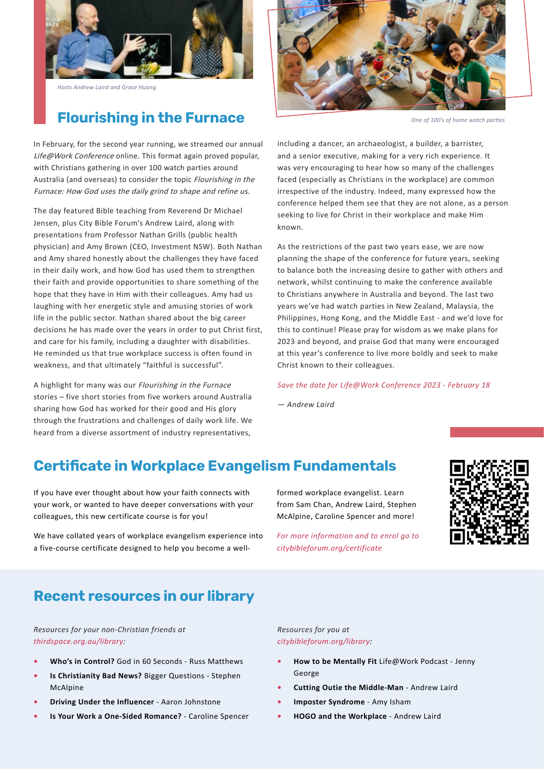

*Hosts Andrew Laird and Grace Huang*

# **Flourishing in the Furnace**

In February, for the second year running, we streamed our annual Life@Work Conference online. This format again proved popular, with Christians gathering in over 100 watch parties around Australia (and overseas) to consider the topic Flourishing in the Furnace: How God uses the daily grind to shape and refine us.

The day featured Bible teaching from Reverend Dr Michael Jensen, plus City Bible Forum's Andrew Laird, along with presentations from Professor Nathan Grills (public health physician) and Amy Brown (CEO, Investment NSW). Both Nathan and Amy shared honestly about the challenges they have faced in their daily work, and how God has used them to strengthen their faith and provide opportunities to share something of the hope that they have in Him with their colleagues. Amy had us laughing with her energetic style and amusing stories of work life in the public sector. Nathan shared about the big career decisions he has made over the years in order to put Christ first, and care for his family, including a daughter with disabilities. He reminded us that true workplace success is often found in weakness, and that ultimately "faithful is successful".

A highlight for many was our Flourishing in the Furnace stories – five short stories from five workers around Australia sharing how God has worked for their good and His glory through the frustrations and challenges of daily work life. We heard from a diverse assortment of industry representatives,



*One of 100's of home watch partes*

including a dancer, an archaeologist, a builder, a barrister, and a senior executive, making for a very rich experience. It was very encouraging to hear how so many of the challenges faced (especially as Christians in the workplace) are common irrespective of the industry. Indeed, many expressed how the conference helped them see that they are not alone, as a person seeking to live for Christ in their workplace and make Him known.

As the restrictions of the past two years ease, we are now planning the shape of the conference for future years, seeking to balance both the increasing desire to gather with others and network, whilst continuing to make the conference available to Christians anywhere in Australia and beyond. The last two years we've had watch parties in New Zealand, Malaysia, the Philippines, Hong Kong, and the Middle East - and we'd love for this to continue! Please pray for wisdom as we make plans for 2023 and beyond, and praise God that many were encouraged at this year's conference to live more boldly and seek to make Christ known to their colleagues.

#### *Save the date for Life@Work Conference 2023 - February 18*

— *Andrew Laird*

# **Certifcate in Workplace Evangelism Fundamentals**

If you have ever thought about how your faith connects with your work, or wanted to have deeper conversations with your colleagues, this new certificate course is for you!

We have collated years of workplace evangelism experience into a five-course certificate designed to help you become a wellformed workplace evangelist. Learn from Sam Chan, Andrew Laird, Stephen McAlpine, Caroline Spencer and more!

*For more information and to enrol go to citybibleforum.org/certificate*



### **Recent resources in our library**

*Resources for your non-Christian friends at thirdspace.org.au/library:*

- **• Who's in Control?** God in 60 Seconds Russ Matthews
- **• Is Christianity Bad News?** Bigger Questions Stephen McAlpine
- **• Driving Under the Influencer** Aaron Johnstone
- **• Is Your Work a One-Sided Romance?** Caroline Spencer

*Resources for you at citybibleforum.org/library:*

- **• How to be Mentally Fit** Life@Work Podcast Jenny George
- **• Cutting Outie the Middle-Man**  Andrew Laird
- **• Imposter Syndrome** Amy Isham
- **• HOGO and the Workplace** Andrew Laird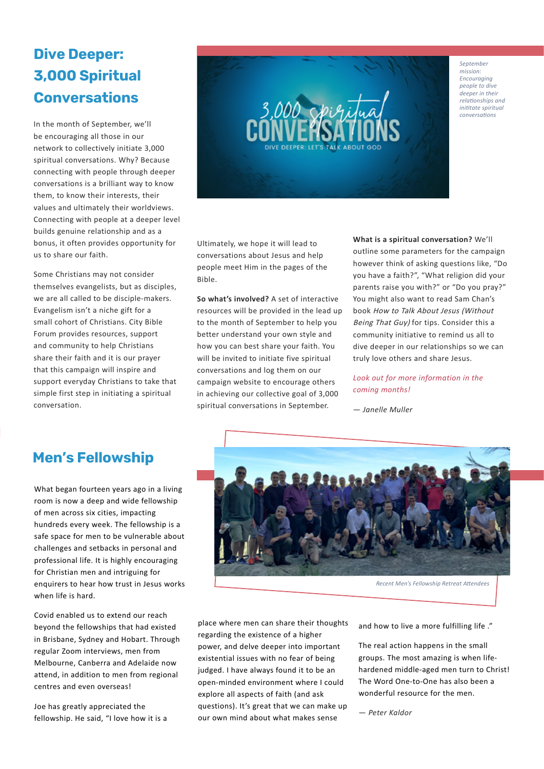# **Dive Deeper: 3,000 Spiritual Conversations**

In the month of September, we'll be encouraging all those in our network to collectively initiate 3,000 spiritual conversations. Why? Because connecting with people through deeper conversations is a brilliant way to know them, to know their interests, their values and ultimately their worldviews. Connecting with people at a deeper level builds genuine relationship and as a bonus, it often provides opportunity for us to share our faith.

Some Christians may not consider themselves evangelists, but as disciples, we are all called to be disciple-makers. Evangelism isn't a niche gift for a small cohort of Christians. City Bible Forum provides resources, support and community to help Christians share their faith and it is our prayer that this campaign will inspire and support everyday Christians to take that simple first step in initiating a spiritual conversation.



Ultimately, we hope it will lead to conversations about Jesus and help people meet Him in the pages of the Bible.

**So what's involved?** A set of interactive resources will be provided in the lead up to the month of September to help you better understand your own style and how you can best share your faith. You will be invited to initiate five spiritual conversations and log them on our campaign website to encourage others in achieving our collective goal of 3,000 spiritual conversations in September.

**What is a spiritual conversation?** We'll outline some parameters for the campaign however think of asking questions like, "Do you have a faith?", "What religion did your parents raise you with?" or "Do you pray?" You might also want to read Sam Chan's book How to Talk About Jesus (Without Being That Guy) for tips. Consider this a community initiative to remind us all to dive deeper in our relationships so we can truly love others and share Jesus.

*Look out for more information in the coming months!* 

— *Janelle Muller*

### **Men's Fellowship**

What began fourteen years ago in a living room is now a deep and wide fellowship of men across six cities, impacting hundreds every week. The fellowship is a safe space for men to be vulnerable about challenges and setbacks in personal and professional life. It is highly encouraging for Christian men and intriguing for enquirers to hear how trust in Jesus works when life is hard.

Covid enabled us to extend our reach beyond the fellowships that had existed in Brisbane, Sydney and Hobart. Through regular Zoom interviews, men from Melbourne, Canberra and Adelaide now attend, in addition to men from regional centres and even overseas!

Joe has greatly appreciated the fellowship. He said, "I love how it is a



place where men can share their thoughts regarding the existence of a higher power, and delve deeper into important existential issues with no fear of being judged. I have always found it to be an open-minded environment where I could explore all aspects of faith (and ask questions). It's great that we can make up our own mind about what makes sense

and how to live a more fulfilling life ."

The real action happens in the small groups. The most amazing is when lifehardened middle-aged men turn to Christ! The Word One-to-One has also been a wonderful resource for the men.

— *Peter Kaldor*